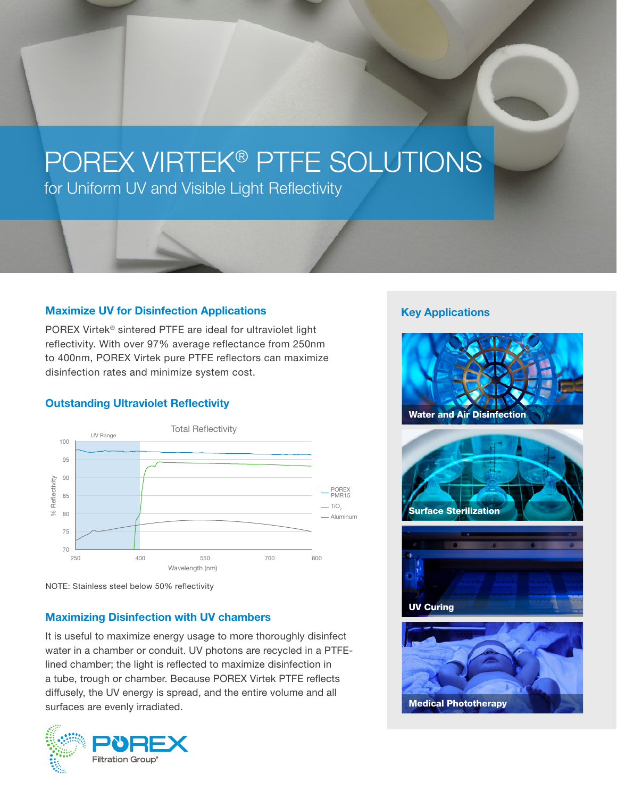# POREX VIRTEK® PTFE SOLUTIONS

for Uniform UV and Visible Light Reflectivity

### Maximize UV for Disinfection Applications

POREX Virtek® sintered PTFE are ideal for ultraviolet light reflectivity. With over 97% average reflectance from 250nm to 400nm, POREX Virtek pure PTFE reflectors can maximize disinfection rates and minimize system cost.

## Outstanding Ultraviolet Reflectivity



NOTE: Stainless steel below 50% reflectivity

# Maximizing Disinfection with UV chambers

It is useful to maximize energy usage to more thoroughly disinfect water in a chamber or conduit. UV photons are recycled in a PTFElined chamber; the light is reflected to maximize disinfection in a tube, trough or chamber. Because POREX Virtek PTFE reflects diffusely, the UV energy is spread, and the entire volume and all surfaces are evenly irradiated.



## Key Applications